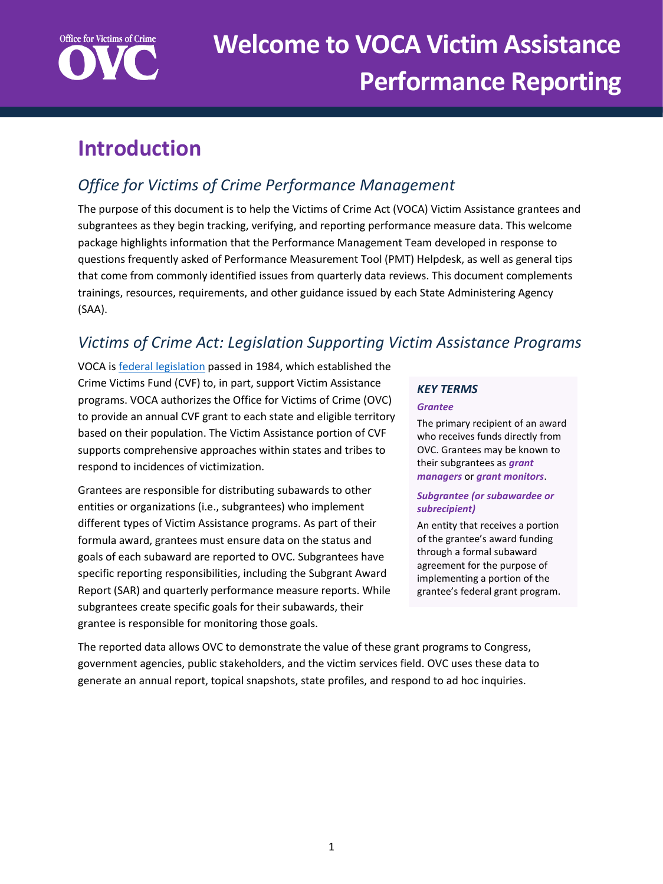

# **Introduction**

# *Office for Victims of Crime Performance Management*

The purpose of this document is to help the Victims of Crime Act (VOCA) Victim Assistance grantees and subgrantees as they begin tracking, verifying, and reporting performance measure data. This welcome package highlights information that the Performance Management Team developed in response to questions frequently asked of Performance Measurement Tool (PMT) Helpdesk, as well as general tips that come from commonly identified issues from quarterly data reviews. This document complements trainings, resources, requirements, and other guidance issued by each State Administering Agency (SAA).

## *Victims of Crime Act: Legislation Supporting Victim Assistance Programs*

VOCA i[s federal legislation](https://www.congress.gov/bill/117th-congress/house-bill/1652) passed in 1984, which established the Crime Victims Fund (CVF) to, in part, support Victim Assistance programs. VOCA authorizes the Office for Victims of Crime (OVC) to provide an annual CVF grant to each state and eligible territory based on their population. The Victim Assistance portion of CVF supports comprehensive approaches within states and tribes to respond to incidences of victimization.

Grantees are responsible for distributing subawards to other entities or organizations (i.e., subgrantees) who implement different types of Victim Assistance programs. As part of their formula award, grantees must ensure data on the status and goals of each subaward are reported to OVC. Subgrantees have specific reporting responsibilities, including the Subgrant Award Report (SAR) and quarterly performance measure reports. While subgrantees create specific goals for their subawards, their grantee is responsible for monitoring those goals.

## *KEY TERMS*

#### *Grantee*

The primary recipient of an award who receives funds directly from OVC. Grantees may be known to their subgrantees as *grant managers* or *grant monitors*.

#### *Subgrantee (or subawardee or subrecipient)*

An entity that receives a portion of the grantee's award funding through a formal subaward agreement for the purpose of implementing a portion of the grantee's federal grant program.

The reported data allows OVC to demonstrate the value of these grant programs to Congress, government agencies, public stakeholders, and the victim services field. OVC uses these data to generate an annual report, topical snapshots, state profiles, and respond to ad hoc inquiries.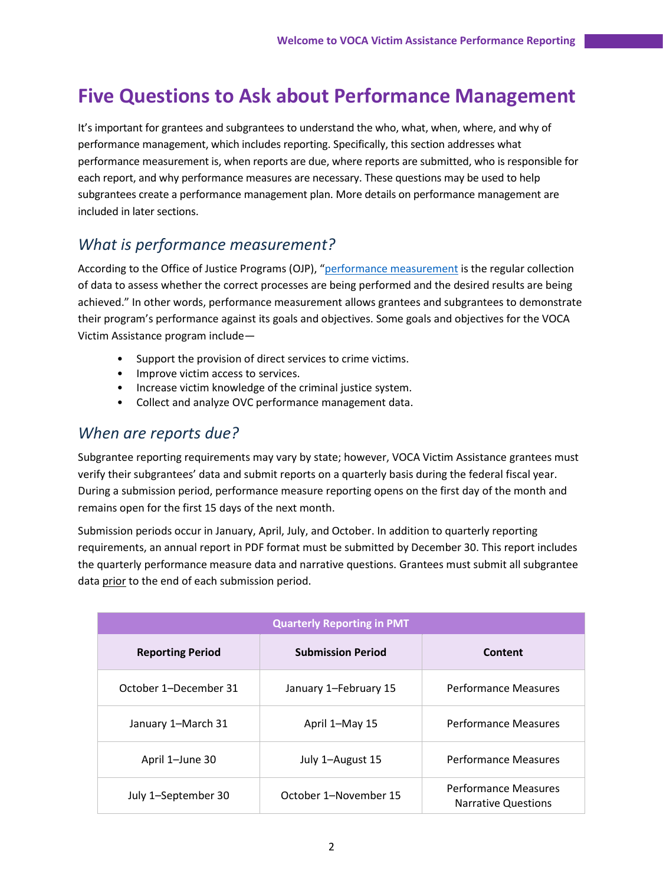# **Five Questions to Ask about Performance Management**

It's important for grantees and subgrantees to understand the who, what, when, where, and why of performance management, which includes reporting. Specifically, this section addresses what performance measurement is, when reports are due, where reports are submitted, who is responsible for each report, and why performance measures are necessary. These questions may be used to help subgrantees create a performance management plan. More details on performance management are included in later sections.

### *What is performance measurement?*

According to the Office of Justice Programs (OJP), "[performance measurement](https://www.ojp.gov/funding/apply/grant-performance-measurement-and-progress-reporting-information) is the regular collection of data to assess whether the correct processes are being performed and the desired results are being achieved." In other words, performance measurement allows grantees and subgrantees to demonstrate their program's performance against its goals and objectives. Some goals and objectives for the VOCA Victim Assistance program include—

- Support the provision of direct services to crime victims.
- Improve victim access to services.
- Increase victim knowledge of the criminal justice system.
- Collect and analyze OVC performance management data.

### *When are reports due?*

Subgrantee reporting requirements may vary by state; however, VOCA Victim Assistance grantees must verify their subgrantees' data and submit reports on a quarterly basis during the federal fiscal year. During a submission period, performance measure reporting opens on the first day of the month and remains open for the first 15 days of the next month.

Submission periods occur in January, April, July, and October. In addition to quarterly reporting requirements, an annual report in PDF format must be submitted by December 30. This report includes the quarterly performance measure data and narrative questions. Grantees must submit all subgrantee data prior to the end of each submission period.

| <b>Quarterly Reporting in PMT</b> |                          |                                                           |  |
|-----------------------------------|--------------------------|-----------------------------------------------------------|--|
| <b>Reporting Period</b>           | <b>Submission Period</b> | Content                                                   |  |
| October 1-December 31             | January 1-February 15    | <b>Performance Measures</b>                               |  |
| January 1-March 31                | April 1-May 15           | <b>Performance Measures</b>                               |  |
| April 1-June 30                   | July 1-August 15         | <b>Performance Measures</b>                               |  |
| July 1-September 30               | October 1-November 15    | <b>Performance Measures</b><br><b>Narrative Questions</b> |  |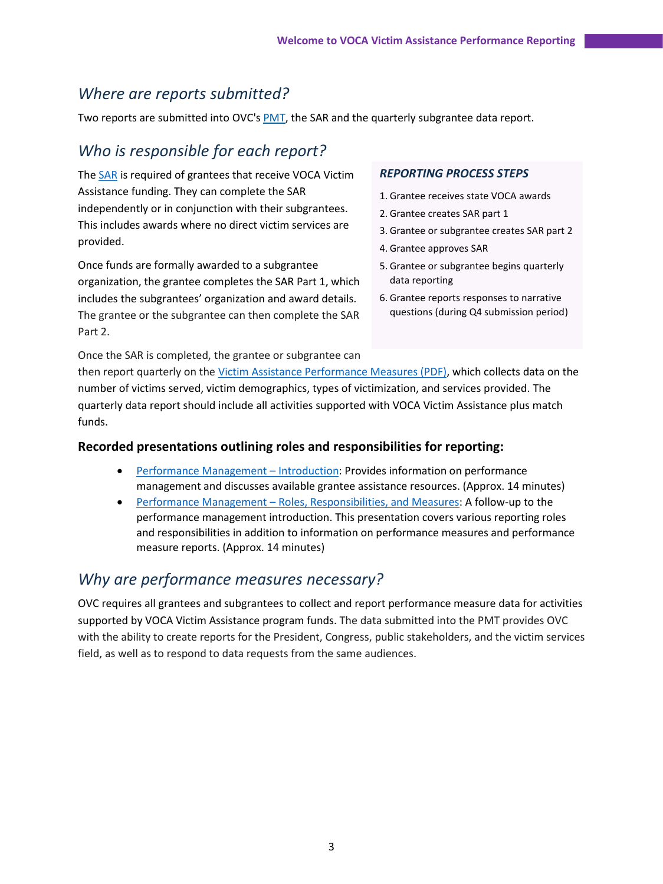### *Where are reports submitted?*

Two reports are submitted into OVC's [PMT,](https://ovcpmt.ojp.gov/) the SAR and the quarterly subgrantee data report.

### *Who is responsible for each report?*

The [SAR](https://ovcpmt.ojp.gov/documents/Victim_Assistance_SAR_508.pdf) is required of grantees that receive VOCA Victim Assistance funding. They can complete the SAR independently or in conjunction with their subgrantees. This includes awards where no direct victim services are provided.

Once funds are formally awarded to a subgrantee organization, the grantee completes the SAR Part 1, which includes the subgrantees' organization and award details. The grantee or the subgrantee can then complete the SAR Part 2.

#### *REPORTING PROCESS STEPS*

- 1. Grantee receives state VOCA awards
- 2. Grantee creates SAR part 1
- 3. Grantee or subgrantee creates SAR part 2
- 4. Grantee approves SAR
- 5. Grantee or subgrantee begins quarterly data reporting
- 6. Grantee reports responses to narrative questions (during Q4 submission period)

Once the SAR is completed, the grantee or subgrantee can then report quarterly on the [Victim Assistance Performance Measures \(PDF\),](https://ovcpmt.ojp.gov/documents/Victim%20Assistance%20-%20Subgrantee%20Data%20Report%20-%20June%202017.pdf) which collects data on the number of victims served, victim demographics, types of victimization, and services provided. The quarterly data report should include all activities supported with VOCA Victim Assistance plus match funds.

#### **Recorded presentations outlining roles and responsibilities for reporting:**

- [Performance Management](https://youtu.be/an0LU0Q-zpc)  Introduction: Provides information on performance management and discusses available grantee assistance resources. (Approx. 14 minutes)
- Performance Management [Roles, Responsibilities, and Measures:](https://youtu.be/g-1HxUzkiL8) A follow-up to the performance management introduction. This presentation covers various reporting roles and responsibilities in addition to information on performance measures and performance measure reports. (Approx. 14 minutes)

### *Why are performance measures necessary?*

OVC requires all grantees and subgrantees to collect and report performance measure data for activities supported by VOCA Victim Assistance program funds. The data submitted into the PMT provides OVC with the ability to create reports for the President, Congress, public stakeholders, and the victim services field, as well as to respond to data requests from the same audiences.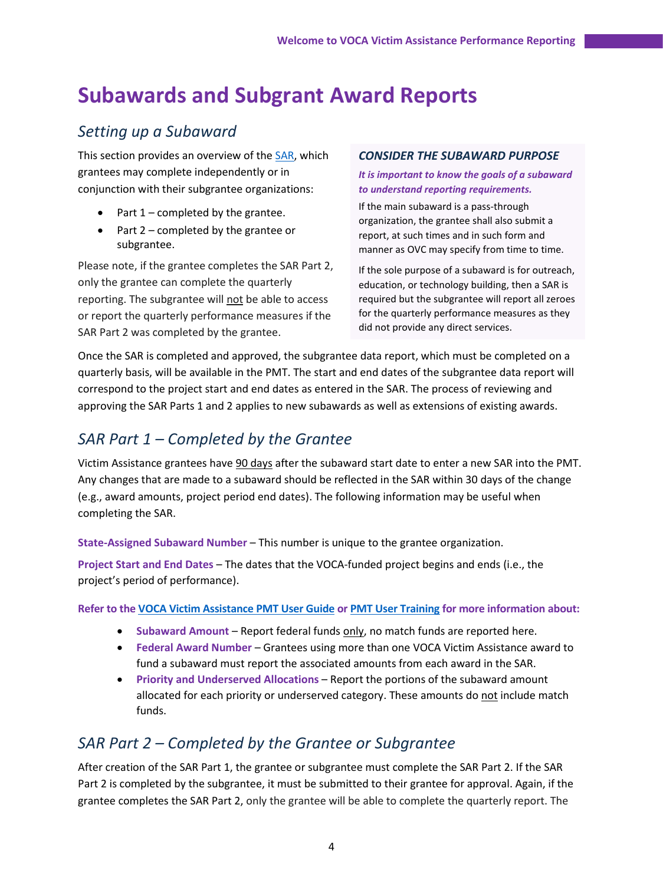# **Subawards and Subgrant Award Reports**

### *Setting up a Subaward*

This section provides an overview of the [SAR,](https://ovcpmt.ojp.gov/documents/Victim_Assistance_SAR_508.pdf) which grantees may complete independently or in conjunction with their subgrantee organizations:

- Part  $1$  completed by the grantee.
- Part 2 completed by the grantee or subgrantee.

Please note, if the grantee completes the SAR Part 2, only the grantee can complete the quarterly reporting. The subgrantee will not be able to access or report the quarterly performance measures if the SAR Part 2 was completed by the grantee.

#### *CONSIDER THE SUBAWARD PURPOSE*

#### *It is important to know the goals of a subaward to understand reporting requirements.*

If the main subaward is a pass-through organization, the grantee shall also submit a report, at such times and in such form and manner as OVC may specify from time to time.

If the sole purpose of a subaward is for outreach, education, or technology building, then a SAR is required but the subgrantee will report all zeroes for the quarterly performance measures as they did not provide any direct services.

Once the SAR is completed and approved, the subgrantee data report, which must be completed on a quarterly basis, will be available in the PMT. The start and end dates of the subgrantee data report will correspond to the project start and end dates as entered in the SAR. The process of reviewing and approving the SAR Parts 1 and 2 applies to new subawards as well as extensions of existing awards.

### *SAR Part 1 – Completed by the Grantee*

Victim Assistance grantees have 90 days after the subaward start date to enter a new SAR into the PMT. Any changes that are made to a subaward should be reflected in the SAR within 30 days of the change (e.g., award amounts, project period end dates). The following information may be useful when completing the SAR.

**State-Assigned Subaward Number** – This number is unique to the grantee organization.

**Project Start and End Dates** – The dates that the VOCA-funded project begins and ends (i.e., the project's period of performance).

#### **Refer to the [VOCA Victim Assistance PMT User Guide](https://ovc.ojp.gov/sites/g/files/xyckuh226/files/media/document/voca-victim-assistance-pmt-user-guide.pdf) o[r PMT User Training](https://ovcpmt.ojp.gov/documents/Victim_Assistance_PM_Overview_Training_Fall_2019_508.pdf) for more information about:**

- **Subaward Amount** Report federal funds only, no match funds are reported here.
- **Federal Award Number** Grantees using more than one VOCA Victim Assistance award to fund a subaward must report the associated amounts from each award in the SAR.
- **Priority and Underserved Allocations** Report the portions of the subaward amount allocated for each priority or underserved category. These amounts do not include match funds.

### *SAR Part 2 – Completed by the Grantee or Subgrantee*

After creation of the SAR Part 1, the grantee or subgrantee must complete the SAR Part 2. If the SAR Part 2 is completed by the subgrantee, it must be submitted to their grantee for approval. Again, if the grantee completes the SAR Part 2, only the grantee will be able to complete the quarterly report. The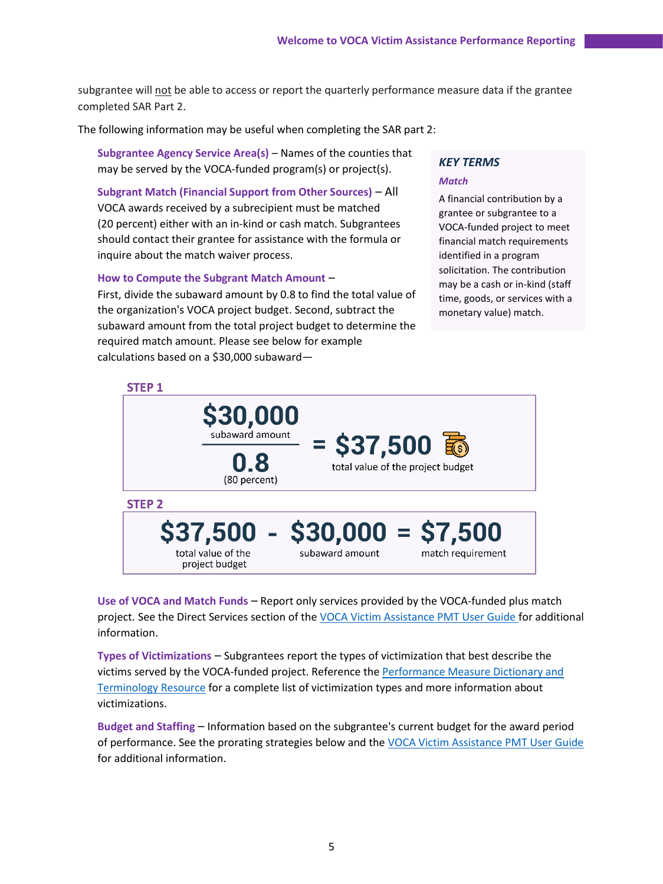subgrantee will not be able to access or report the quarterly performance measure data if the grantee completed SAR Part 2.

The following information may be useful when completing the SAR part 2:

**Subgrantee Agency Service Area(s)** – Names of the counties that may be served by the VOCA-funded program(s) or project(s).

**Subgrant Match (Financial Support from Other Sources)** – All VOCA awards received by a subrecipient must be matched (20 percent) either with an in-kind or cash match. Subgrantees should contact their grantee for assistance with the formula or inquire about the match waiver process.

#### **How to Compute the Subgrant Match Amount** –

First, divide the subaward amount by 0.8 to find the total value of the organization's VOCA project budget. Second, subtract the subaward amount from the total project budget to determine the required match amount. Please see below for example calculations based on a \$30,000 subaward—

### *KEY TERMS*

#### *Match*

A financial contribution by a grantee or subgrantee to a VOCA-funded project to meet financial match requirements identified in a program solicitation. The contribution may be a cash or in-kind (staff time, goods, or services with a monetary value) match.



**Use of VOCA and Match Funds** – Report only services provided by the VOCA-funded plus match project. See the Direct Services section of the [VOCA Victim Assistance PMT User Guide f](https://ovc.ojp.gov/sites/g/files/xyckuh226/files/media/document/voca-victim-assistance-pmt-user-guide.pdf)or additional information.

**Types of Victimizations** – Subgrantees report the types of victimization that best describe the victims served by the VOCA-funded project. Reference the [Performance Measure Dictionary and](https://ovc.ojp.gov/sites/g/files/xyckuh226/files/media/document/ovc-performance-measure-dictionary-terminology-resource-winter-2020.pdf)  [Terminology Resource](https://ovc.ojp.gov/sites/g/files/xyckuh226/files/media/document/ovc-performance-measure-dictionary-terminology-resource-winter-2020.pdf) for a complete list of victimization types and more information about victimizations.

**Budget and Staffing** – Information based on the subgrantee's current budget for the award period of performance. See the prorating strategies below and the [VOCA Victim Assistance PMT User Guide](https://ovc.ojp.gov/sites/g/files/xyckuh226/files/media/document/voca-victim-assistance-pmt-user-guide.pdf) for additional information.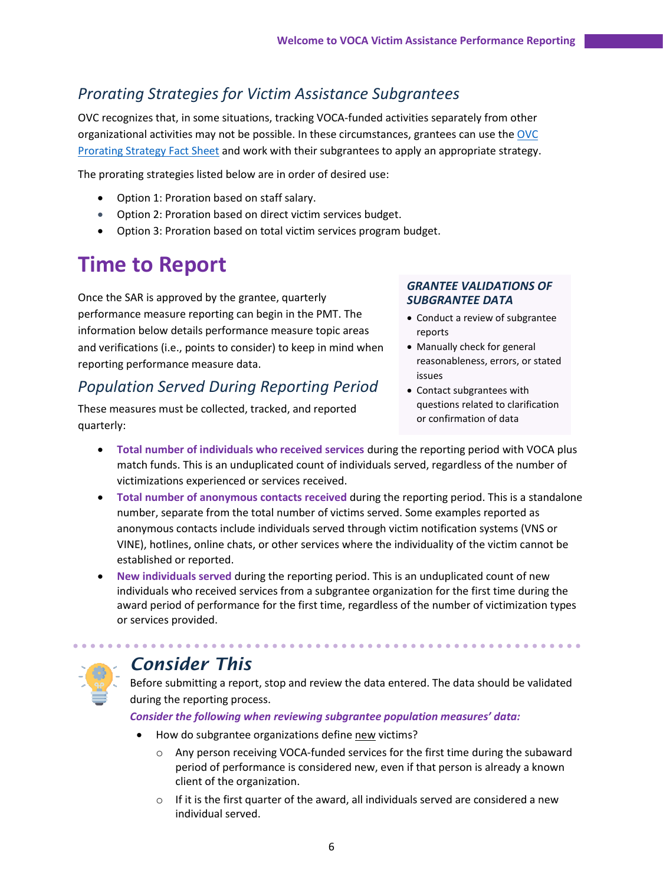## *Prorating Strategies for Victim Assistance Subgrantees*

OVC recognizes that, in some situations, tracking VOCA-funded activities separately from other organizational activities may not be possible. In these circumstances, grantees can use th[e OVC](https://ovc.ojp.gov/sites/g/files/xyckuh226/files/media/document/ovc-victim-assistance-prorating-strategies-for-subgrantees-winter-2020.pdf)  [Prorating Strategy Fact Sheet](https://ovc.ojp.gov/sites/g/files/xyckuh226/files/media/document/ovc-victim-assistance-prorating-strategies-for-subgrantees-winter-2020.pdf) and work with their subgrantees to apply an appropriate strategy.

The prorating strategies listed below are in order of desired use:

- Option 1: Proration based on staff salary.
- Option 2: Proration based on direct victim services budget.
- Option 3: Proration based on total victim services program budget.

# **Time to Report**

Once the SAR is approved by the grantee, quarterly performance measure reporting can begin in the PMT. The information below details performance measure topic areas and verifications (i.e., points to consider) to keep in mind when reporting performance measure data.

## *Population Served During Reporting Period*

These measures must be collected, tracked, and reported quarterly:

#### *GRANTEE VALIDATIONS OF SUBGRANTEE DATA*

- Conduct a review of subgrantee reports
- Manually check for general reasonableness, errors, or stated issues
- Contact subgrantees with questions related to clarification or confirmation of data
- **Total number of individuals who received services** during the reporting period with VOCA plus match funds. This is an unduplicated count of individuals served, regardless of the number of victimizations experienced or services received.
- **Total number of anonymous contacts received** during the reporting period. This is a standalone number, separate from the total number of victims served. Some examples reported as anonymous contacts include individuals served through victim notification systems (VNS or VINE), hotlines, online chats, or other services where the individuality of the victim cannot be established or reported.
- **New individuals served** during the reporting period. This is an unduplicated count of new individuals who received services from a subgrantee organization for the first time during the award period of performance for the first time, regardless of the number of victimization types or services provided.



# *Consider This*

Before submitting a report, stop and review the data entered. The data should be validated during the reporting process.

*Consider the following when reviewing subgrantee population measures' data:*

- How do subgrantee organizations define new victims?
	- o Any person receiving VOCA-funded services for the first time during the subaward period of performance is considered new, even if that person is already a known client of the organization.
	- $\circ$  If it is the first quarter of the award, all individuals served are considered a new individual served.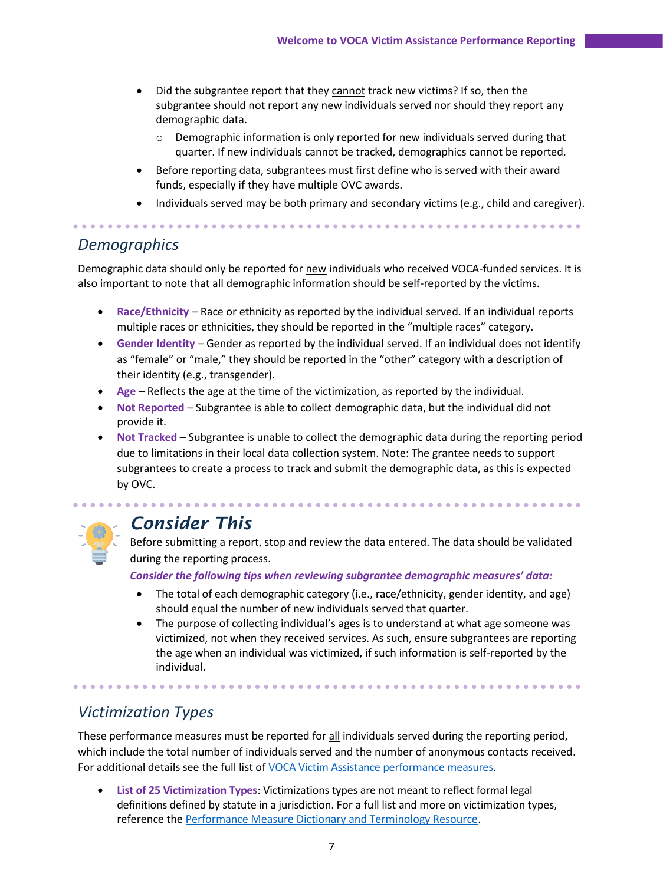- Did the subgrantee report that they cannot track new victims? If so, then the subgrantee should not report any new individuals served nor should they report any demographic data.
	- $\circ$  Demographic information is only reported for new individuals served during that quarter. If new individuals cannot be tracked, demographics cannot be reported.
- Before reporting data, subgrantees must first define who is served with their award funds, especially if they have multiple OVC awards.
- Individuals served may be both primary and secondary victims (e.g., child and caregiver).

. . . . . . . . . . . . . . . . . . .

### *Demographics*

Demographic data should only be reported for new individuals who received VOCA-funded services. It is also important to note that all demographic information should be self-reported by the victims.

- **Race/Ethnicity** Race or ethnicity as reported by the individual served. If an individual reports multiple races or ethnicities, they should be reported in the "multiple races" category.
- **Gender Identity** Gender as reported by the individual served. If an individual does not identify as "female" or "male," they should be reported in the "other" category with a description of their identity (e.g., transgender).
- **Age** Reflects the age at the time of the victimization, as reported by the individual.
- **Not Reported** Subgrantee is able to collect demographic data, but the individual did not provide it.
- **Not Tracked** Subgrantee is unable to collect the demographic data during the reporting period due to limitations in their local data collection system. Note: The grantee needs to support subgrantees to create a process to track and submit the demographic data, as this is expected by OVC.



# *Consider This*

Before submitting a report, stop and review the data entered. The data should be validated during the reporting process.

*Consider the following tips when reviewing subgrantee demographic measures' data:*

- The total of each demographic category (i.e., race/ethnicity, gender identity, and age) should equal the number of new individuals served that quarter.
- The purpose of collecting individual's ages is to understand at what age someone was victimized, not when they received services. As such, ensure subgrantees are reporting the age when an individual was victimized, if such information is self-reported by the individual.

## *Victimization Types*

These performance measures must be reported for all individuals served during the reporting period, which include the total number of individuals served and the number of anonymous contacts received. For additional details see the full list of [VOCA Victim Assistance performance measures.](https://ovcpmt.ojp.gov/documents/Victim%20Assistance%20-%20Subgrantee%20Data%20Report%20-%20June%202017.pdf)

• **List of 25 Victimization Types**: Victimizations types are not meant to reflect formal legal definitions defined by statute in a jurisdiction. For a full list and more on victimization types, reference the [Performance Measure Dictionary and Terminology Resource.](https://ovc.ojp.gov/sites/g/files/xyckuh226/files/media/document/ovc-performance-measure-dictionary-terminology-resource-winter-2020.pdf)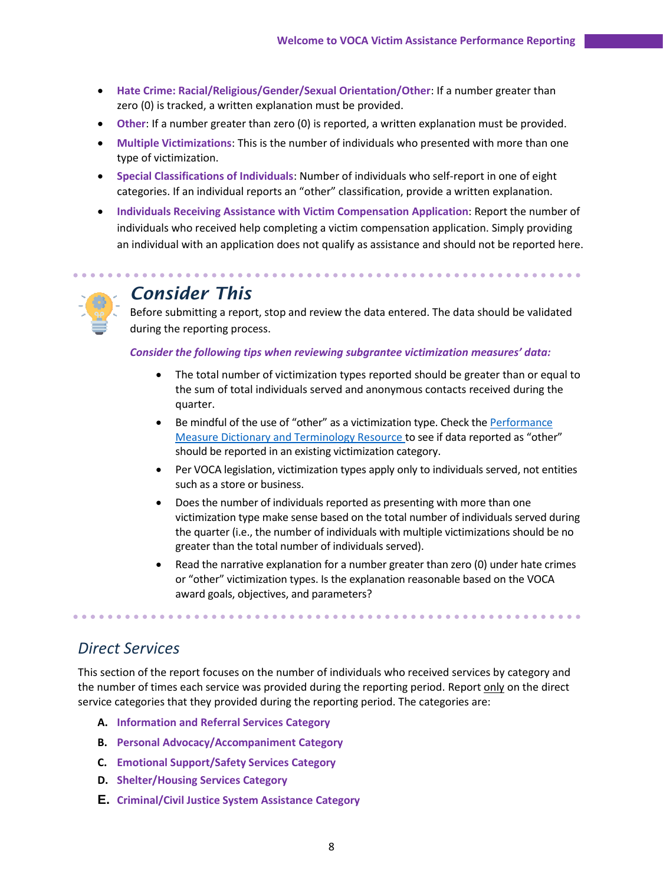- **Hate Crime: Racial/Religious/Gender/Sexual Orientation/Other**: If a number greater than zero (0) is tracked, a written explanation must be provided.
- **Other**: If a number greater than zero (0) is reported, a written explanation must be provided.
- **Multiple Victimizations**: This is the number of individuals who presented with more than one type of victimization.
- **Special Classifications of Individuals**: Number of individuals who self-report in one of eight categories. If an individual reports an "other" classification, provide a written explanation.
- **Individuals Receiving Assistance with Victim Compensation Application**: Report the number of individuals who received help completing a victim compensation application. Simply providing an individual with an application does not qualify as assistance and should not be reported here.

### *Consider This*

Before submitting a report, stop and review the data entered. The data should be validated during the reporting process.

#### *Consider the following tips when reviewing subgrantee victimization measures' data:*

- The total number of victimization types reported should be greater than or equal to the sum of total individuals served and anonymous contacts received during the quarter.
- Be mindful of the use of "other" as a victimization type. Check th[e Performance](https://ovc.ojp.gov/sites/g/files/xyckuh226/files/media/document/ovc-performance-measure-dictionary-terminology-resource-winter-2020.pdf)  [Measure Dictionary and Terminology Resource](https://ovc.ojp.gov/sites/g/files/xyckuh226/files/media/document/ovc-performance-measure-dictionary-terminology-resource-winter-2020.pdf) to see if data reported as "other" should be reported in an existing victimization category.
- Per VOCA legislation, victimization types apply only to individuals served, not entities such as a store or business.
- Does the number of individuals reported as presenting with more than one victimization type make sense based on the total number of individuals served during the quarter (i.e., the number of individuals with multiple victimizations should be no greater than the total number of individuals served).
- Read the narrative explanation for a number greater than zero (0) under hate crimes or "other" victimization types. Is the explanation reasonable based on the VOCA award goals, objectives, and parameters?

## *Direct Services*

This section of the report focuses on the number of individuals who received services by category and the number of times each service was provided during the reporting period. Report only on the direct service categories that they provided during the reporting period. The categories are:

- **A. Information and Referral Services Category**
- **B. Personal Advocacy/Accompaniment Category**
- **C. Emotional Support/Safety Services Category**
- **D. Shelter/Housing Services Category**
- **E. Criminal/Civil Justice System Assistance Category**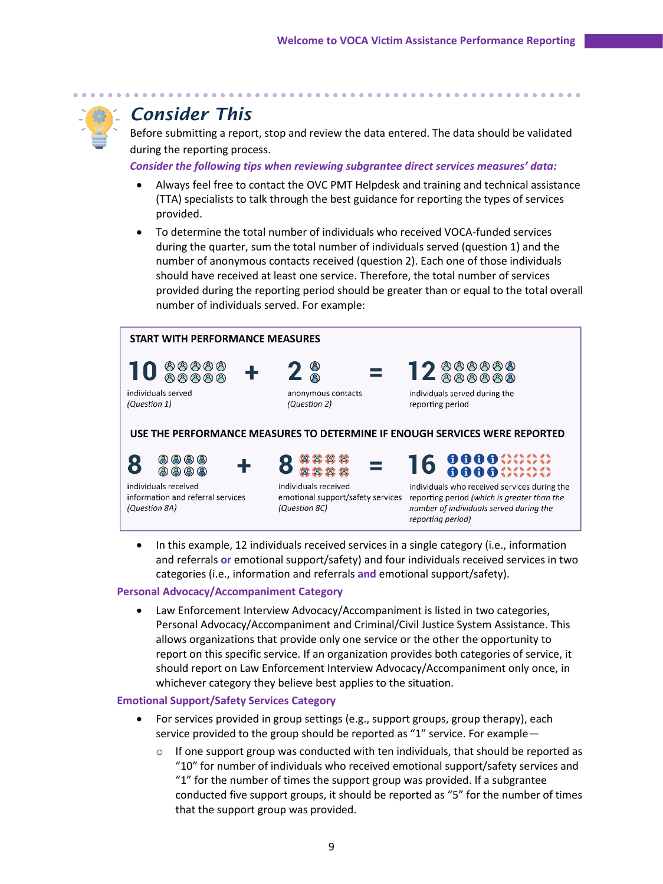

# *Consider This*

Before submitting a report, stop and review the data entered. The data should be validated during the reporting process.

*Consider the following tips when reviewing subgrantee direct services measures' data:*

- Always feel free to contact the OVC PMT Helpdesk and training and technical assistance (TTA) specialists to talk through the best guidance for reporting the types of services provided.
- To determine the total number of individuals who received VOCA-funded services during the quarter, sum the total number of individuals served (question 1) and the number of anonymous contacts received (question 2). Each one of those individuals should have received at least one service. Therefore, the total number of services provided during the reporting period should be greater than or equal to the total overall number of individuals served. For example:



• In this example, 12 individuals received services in a single category (i.e., information and referrals **or** emotional support/safety) and four individuals received services in two categories (i.e., information and referrals **and** emotional support/safety).

#### **Personal Advocacy/Accompaniment Category**

• Law Enforcement Interview Advocacy/Accompaniment is listed in two categories, Personal Advocacy/Accompaniment and Criminal/Civil Justice System Assistance. This allows organizations that provide only one service or the other the opportunity to report on this specific service. If an organization provides both categories of service, it should report on Law Enforcement Interview Advocacy/Accompaniment only once, in whichever category they believe best applies to the situation.

#### **Emotional Support/Safety Services Category**

- For services provided in group settings (e.g., support groups, group therapy), each service provided to the group should be reported as "1" service. For example—
	- $\circ$  If one support group was conducted with ten individuals, that should be reported as "10" for number of individuals who received emotional support/safety services and "1" for the number of times the support group was provided. If a subgrantee conducted five support groups, it should be reported as "5" for the number of times that the support group was provided.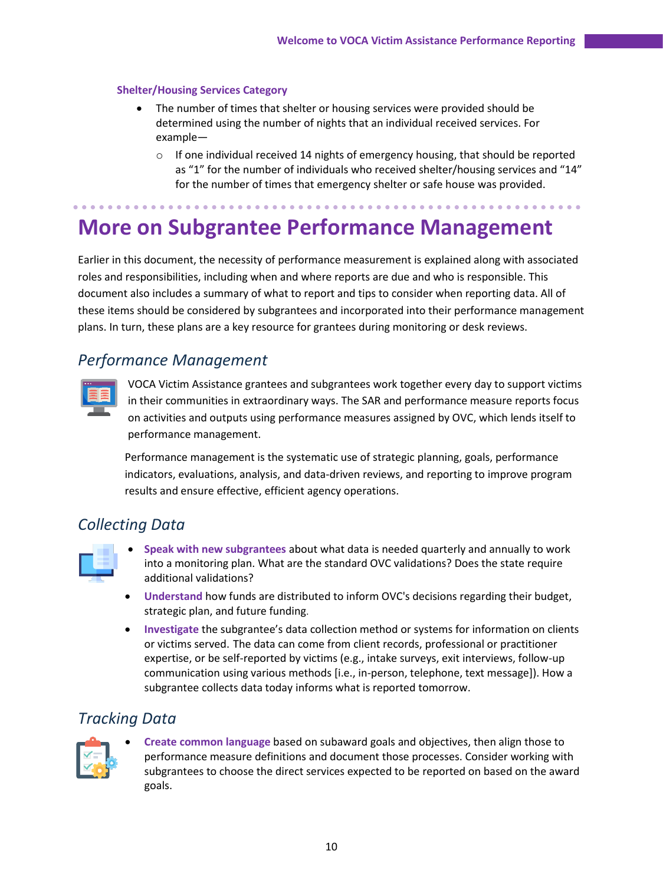#### **Shelter/Housing Services Category**

- The number of times that shelter or housing services were provided should be determined using the number of nights that an individual received services. For example—
	- $\circ$  If one individual received 14 nights of emergency housing, that should be reported as "1" for the number of individuals who received shelter/housing services and "14" for the number of times that emergency shelter or safe house was provided.

# **More on Subgrantee Performance Management**

Earlier in this document, the necessity of performance measurement is explained along with associated roles and responsibilities, including when and where reports are due and who is responsible. This document also includes a summary of what to report and tips to consider when reporting data. All of these items should be considered by subgrantees and incorporated into their performance management plans. In turn, these plans are a key resource for grantees during monitoring or desk reviews.

### *Performance Management*



VOCA Victim Assistance grantees and subgrantees work together every day to support victims in their communities in extraordinary ways. The SAR and performance measure reports focus on activities and outputs using performance measures assigned by OVC, which lends itself to performance management.

Performance management is the systematic use of strategic planning, goals, performance indicators, evaluations, analysis, and data-driven reviews, and reporting to improve program results and ensure effective, efficient agency operations.

### *Collecting Data*



- **Speak with new subgrantees** about what data is needed quarterly and annually to work into a monitoring plan. What are the standard OVC validations? Does the state require additional validations?
- **Understand** how funds are distributed to inform OVC's decisions regarding their budget, strategic plan, and future funding.
- **Investigate** the subgrantee's data collection method or systems for information on clients or victims served. The data can come from client records, professional or practitioner expertise, or be self-reported by victims (e.g., intake surveys, exit interviews, follow-up communication using various methods [i.e., in-person, telephone, text message]). How a subgrantee collects data today informs what is reported tomorrow.

### *Tracking Data*



• **Create common language** based on subaward goals and objectives, then align those to performance measure definitions and document those processes. Consider working with subgrantees to choose the direct services expected to be reported on based on the award goals.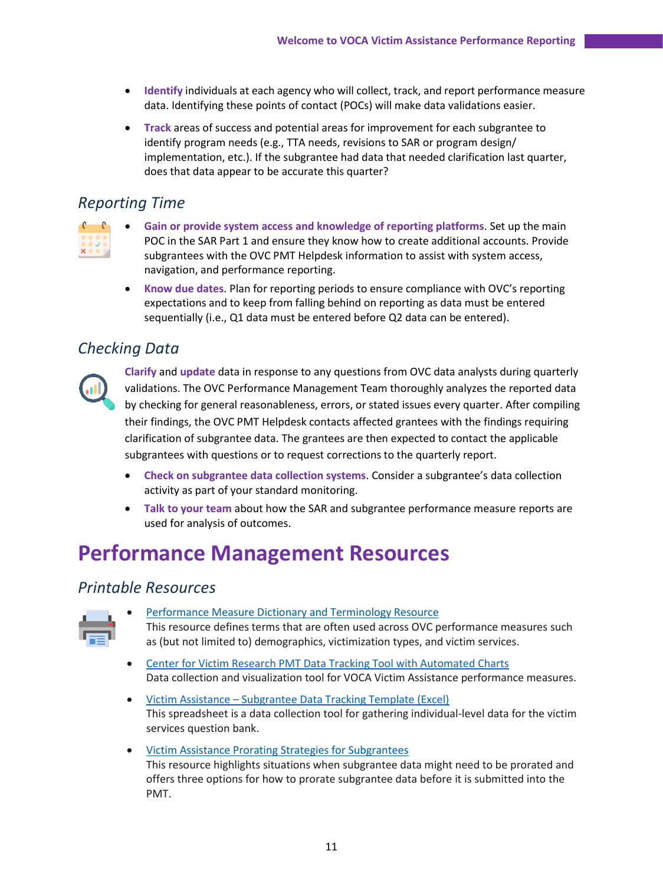- **Identify** individuals at each agency who will collect, track, and report performance measure data. Identifying these points of contact (POCs) will make data validations easier.
- **Track** areas of success and potential areas for improvement for each subgrantee to identify program needs (e.g., TTA needs, revisions to SAR or program design/ implementation, etc.). If the subgrantee had data that needed clarification last quarter, does that data appear to be accurate this quarter?

### *Reporting Time*

|                   | a sa ba |  |  |
|-------------------|---------|--|--|
| <b>CONTRACTOR</b> |         |  |  |
|                   |         |  |  |

- **Gain or provide system access and knowledge of reporting platforms**. Set up the main POC in the SAR Part 1 and ensure they know how to create additional accounts. Provide subgrantees with the OVC PMT Helpdesk information to assist with system access, navigation, and performance reporting.
- **Know due dates**. Plan for reporting periods to ensure compliance with OVC's reporting expectations and to keep from falling behind on reporting as data must be entered sequentially (i.e., Q1 data must be entered before Q2 data can be entered).

### *Checking Data*



**Clarify** and **update** data in response to any questions from OVC data analysts during quarterly validations. The OVC Performance Management Team thoroughly analyzes the reported data by checking for general reasonableness, errors, or stated issues every quarter. After compiling their findings, the OVC PMT Helpdesk contacts affected grantees with the findings requiring clarification of subgrantee data. The grantees are then expected to contact the applicable subgrantees with questions or to request corrections to the quarterly report.

- **Check on subgrantee data collection systems**. Consider a subgrantee's data collection activity as part of your standard monitoring.
- **Talk to your team** about how the SAR and subgrantee performance measure reports are used for analysis of outcomes.

# **Performance Management Resources**

### *[Printable Resources](https://ovc.ojp.gov/funding/performance-measures/technical-assistance)*



- [Performance Measure Dictionary and Terminology Resource](https://ovc.ojp.gov/sites/g/files/xyckuh226/files/media/document/ovc-performance-measure-dictionary-terminology-resource-winter-2020.pdf) This resource defines terms that are often used across OVC performance measures such as (but not limited to) demographics, victimization types, and victim services.
- [Center for Victim Research PMT Data Tracking Tool with Automated Charts](https://victimresearch.org/tools-training/collecting-data/) Data collection and visualization tool for VOCA Victim Assistance performance measures.
- Victim Assistance [Subgrantee Data Tracking Template \(Excel\)](https://ovc.ojp.gov/sites/g/files/xyckuh226/files/media/document/assistance-subgrantee-data-template-2017.xlsx) This spreadsheet is a data collection tool for gathering individual-level data for the victim services question bank.
- [Victim Assistance Prorating Strategies for Subgrantees](https://ovc.ojp.gov/sites/g/files/xyckuh226/files/media/document/ovc-victim-assistance-prorating-strategies-for-subgrantees-winter-2020.pdf) This resource highlights situations when subgrantee data might need to be prorated and offers three options for how to prorate subgrantee data before it is submitted into the PMT.